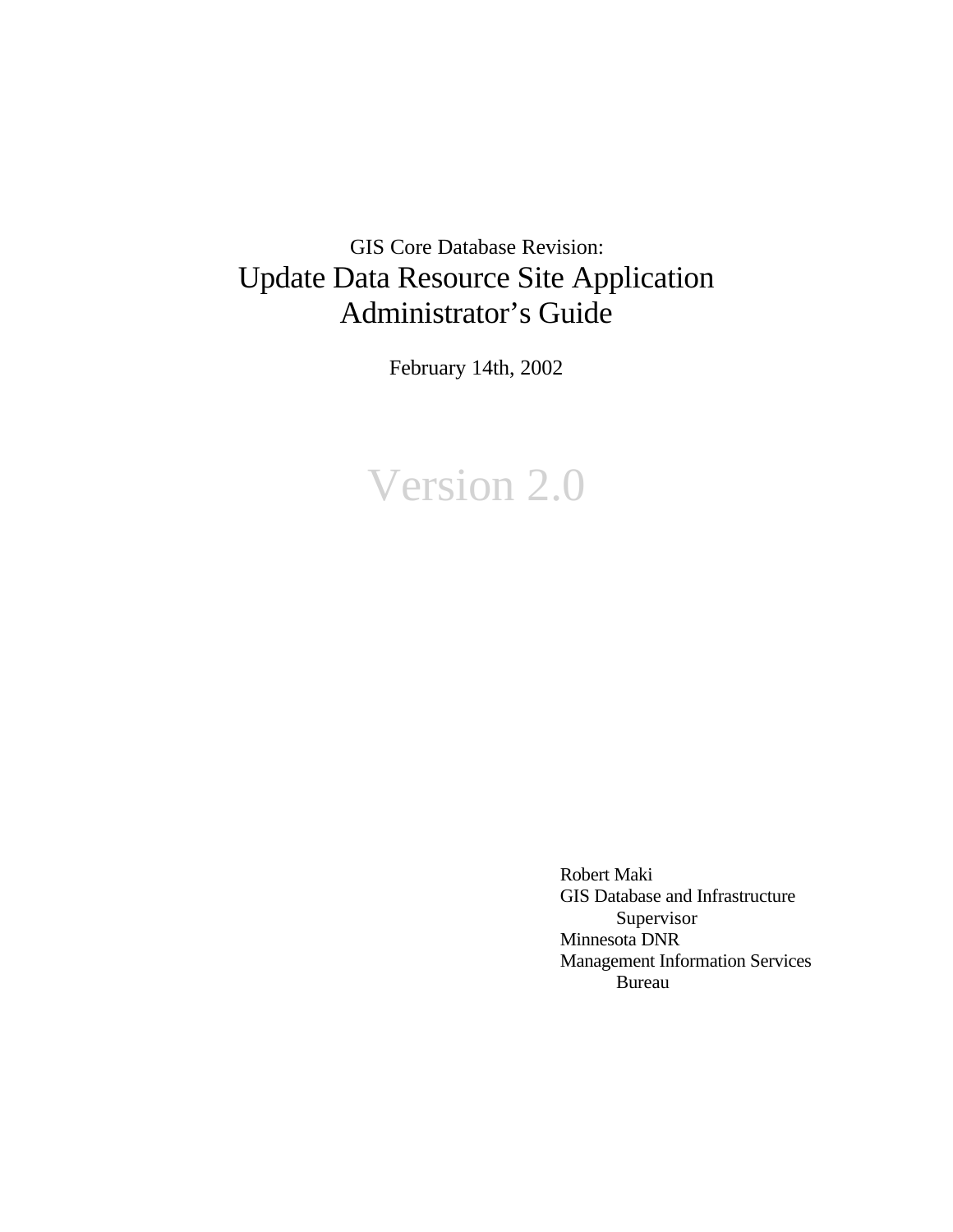# GIS Core Database Revision: Update Data Resource Site Application Administrator's Guide

February 14th, 2002

# Version 2.0

Robert Maki GIS Database and Infrastructure Supervisor Minnesota DNR Management Information Services Bureau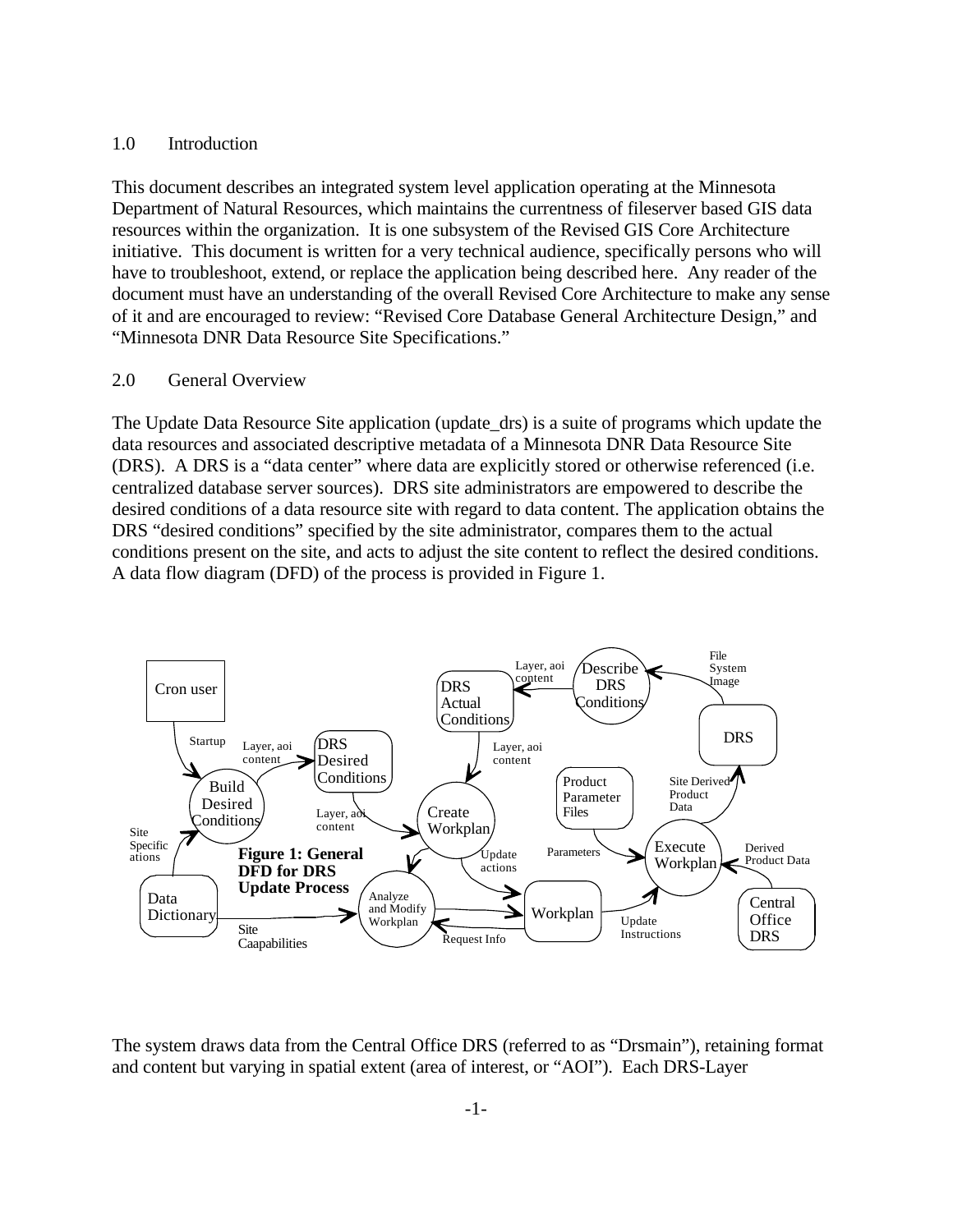#### 1.0 Introduction

This document describes an integrated system level application operating at the Minnesota Department of Natural Resources, which maintains the currentness of fileserver based GIS data resources within the organization. It is one subsystem of the Revised GIS Core Architecture initiative. This document is written for a very technical audience, specifically persons who will have to troubleshoot, extend, or replace the application being described here. Any reader of the document must have an understanding of the overall Revised Core Architecture to make any sense of it and are encouraged to review: "Revised Core Database General Architecture Design," and "Minnesota DNR Data Resource Site Specifications."

#### 2.0 General Overview

The Update Data Resource Site application (update\_drs) is a suite of programs which update the data resources and associated descriptive metadata of a Minnesota DNR Data Resource Site (DRS). A DRS is a "data center" where data are explicitly stored or otherwise referenced (i.e. centralized database server sources). DRS site administrators are empowered to describe the desired conditions of a data resource site with regard to data content. The application obtains the DRS "desired conditions" specified by the site administrator, compares them to the actual conditions present on the site, and acts to adjust the site content to reflect the desired conditions. A data flow diagram (DFD) of the process is provided in Figure 1.



The system draws data from the Central Office DRS (referred to as "Drsmain"), retaining format and content but varying in spatial extent (area of interest, or "AOI"). Each DRS-Layer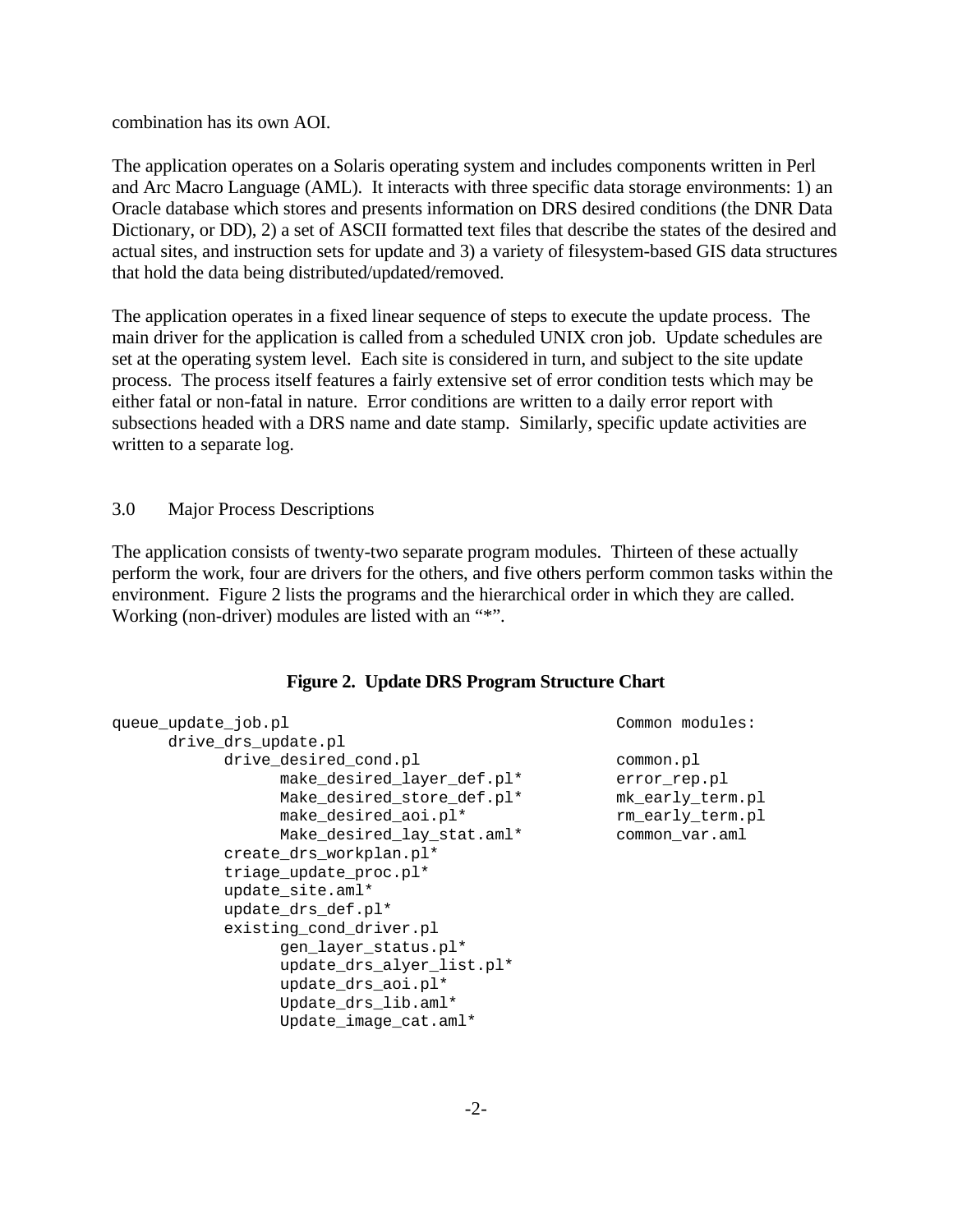combination has its own AOI.

The application operates on a Solaris operating system and includes components written in Perl and Arc Macro Language (AML). It interacts with three specific data storage environments: 1) an Oracle database which stores and presents information on DRS desired conditions (the DNR Data Dictionary, or DD), 2) a set of ASCII formatted text files that describe the states of the desired and actual sites, and instruction sets for update and 3) a variety of filesystem-based GIS data structures that hold the data being distributed/updated/removed.

The application operates in a fixed linear sequence of steps to execute the update process. The main driver for the application is called from a scheduled UNIX cron job. Update schedules are set at the operating system level. Each site is considered in turn, and subject to the site update process. The process itself features a fairly extensive set of error condition tests which may be either fatal or non-fatal in nature. Error conditions are written to a daily error report with subsections headed with a DRS name and date stamp. Similarly, specific update activities are written to a separate log.

3.0 Major Process Descriptions

The application consists of twenty-two separate program modules. Thirteen of these actually perform the work, four are drivers for the others, and five others perform common tasks within the environment. Figure 2 lists the programs and the hierarchical order in which they are called. Working (non-driver) modules are listed with an "\*".

#### **Figure 2. Update DRS Program Structure Chart**

| queue update job.pl                                                                                                                     | Common modules:                                                                     |
|-----------------------------------------------------------------------------------------------------------------------------------------|-------------------------------------------------------------------------------------|
| drive_drs_update.pl                                                                                                                     |                                                                                     |
| drive desired cond.pl<br>make_desired_layer_def.pl*<br>Make_desired_store_def.pl*<br>make_desired_aoi.pl*<br>Make_desired_lay_stat.aml* | common.pl<br>error rep.pl<br>mk early term.pl<br>rm_early_term.pl<br>common var.aml |
| create drs workplan.pl*<br>triage_update_proc.pl*                                                                                       |                                                                                     |
| update site.aml*<br>update_drs_def.pl*                                                                                                  |                                                                                     |
| existing_cond_driver.pl<br>gen layer status.pl*                                                                                         |                                                                                     |
| update_drs_alyer_list.pl*<br>update_drs_aoi.pl*                                                                                         |                                                                                     |
| Update_drs_lib.aml*<br>Update_image_cat.aml*                                                                                            |                                                                                     |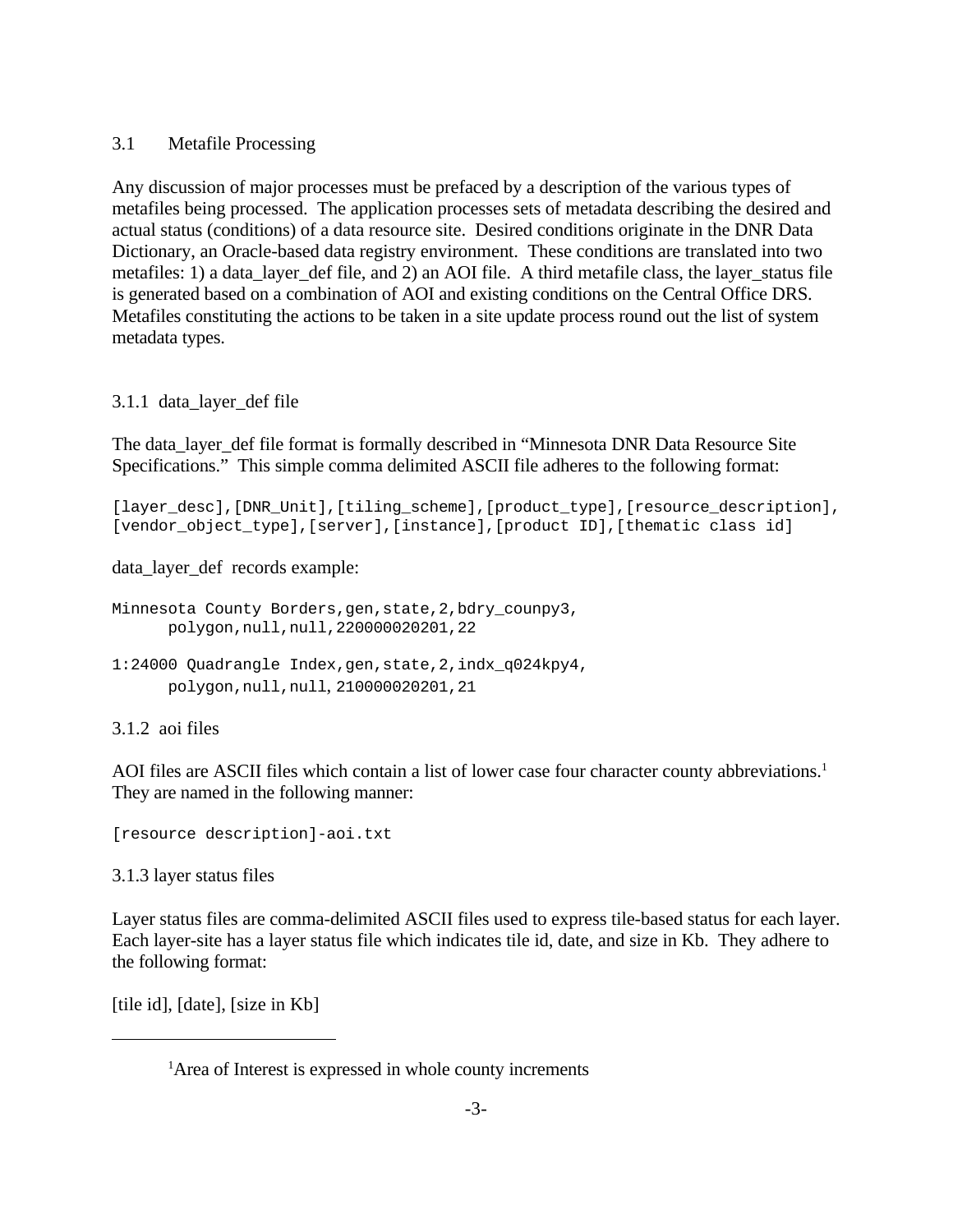#### 3.1 Metafile Processing

Any discussion of major processes must be prefaced by a description of the various types of metafiles being processed. The application processes sets of metadata describing the desired and actual status (conditions) of a data resource site. Desired conditions originate in the DNR Data Dictionary, an Oracle-based data registry environment. These conditions are translated into two metafiles: 1) a data\_layer\_def file, and 2) an AOI file. A third metafile class, the layer\_status file is generated based on a combination of AOI and existing conditions on the Central Office DRS. Metafiles constituting the actions to be taken in a site update process round out the list of system metadata types.

# 3.1.1 data\_layer\_def file

The data\_layer\_def file format is formally described in "Minnesota DNR Data Resource Site Specifications." This simple comma delimited ASCII file adheres to the following format:

[layer desc], [DNR Unit], [tiling scheme], [product type], [resource description], [vendor\_object\_type],[server],[instance],[product ID],[thematic class id]

data\_layer\_def records example:

```
Minnesota County Borders,gen,state,2,bdry_counpy3,
     polygon,null,null,220000020201,22
1:24000 Quadrangle Index,gen,state,2,indx_q024kpy4,
     polygon,null,null, 210000020201,21
```
# 3.1.2 aoi files

AOI files are ASCII files which contain a list of lower case four character county abbreviations.<sup>1</sup> They are named in the following manner:

[resource description]-aoi.txt

3.1.3 layer status files

Layer status files are comma-delimited ASCII files used to express tile-based status for each layer. Each layer-site has a layer status file which indicates tile id, date, and size in Kb. They adhere to the following format:

[tile id], [date], [size in Kb]

<sup>&</sup>lt;sup>1</sup>Area of Interest is expressed in whole county increments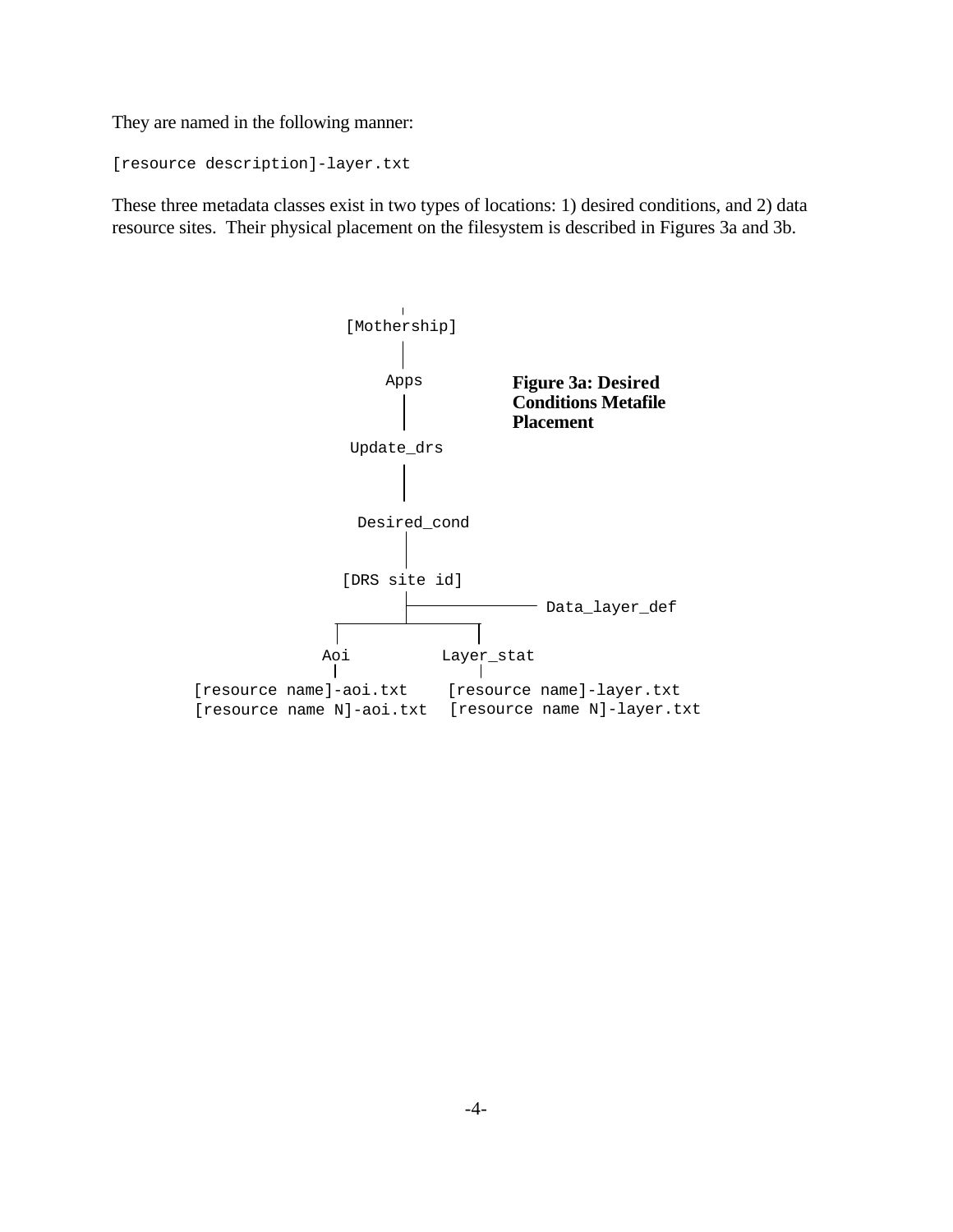They are named in the following manner:

```
[resource description]-layer.txt
```
These three metadata classes exist in two types of locations: 1) desired conditions, and 2) data resource sites. Their physical placement on the filesystem is described in Figures 3a and 3b.

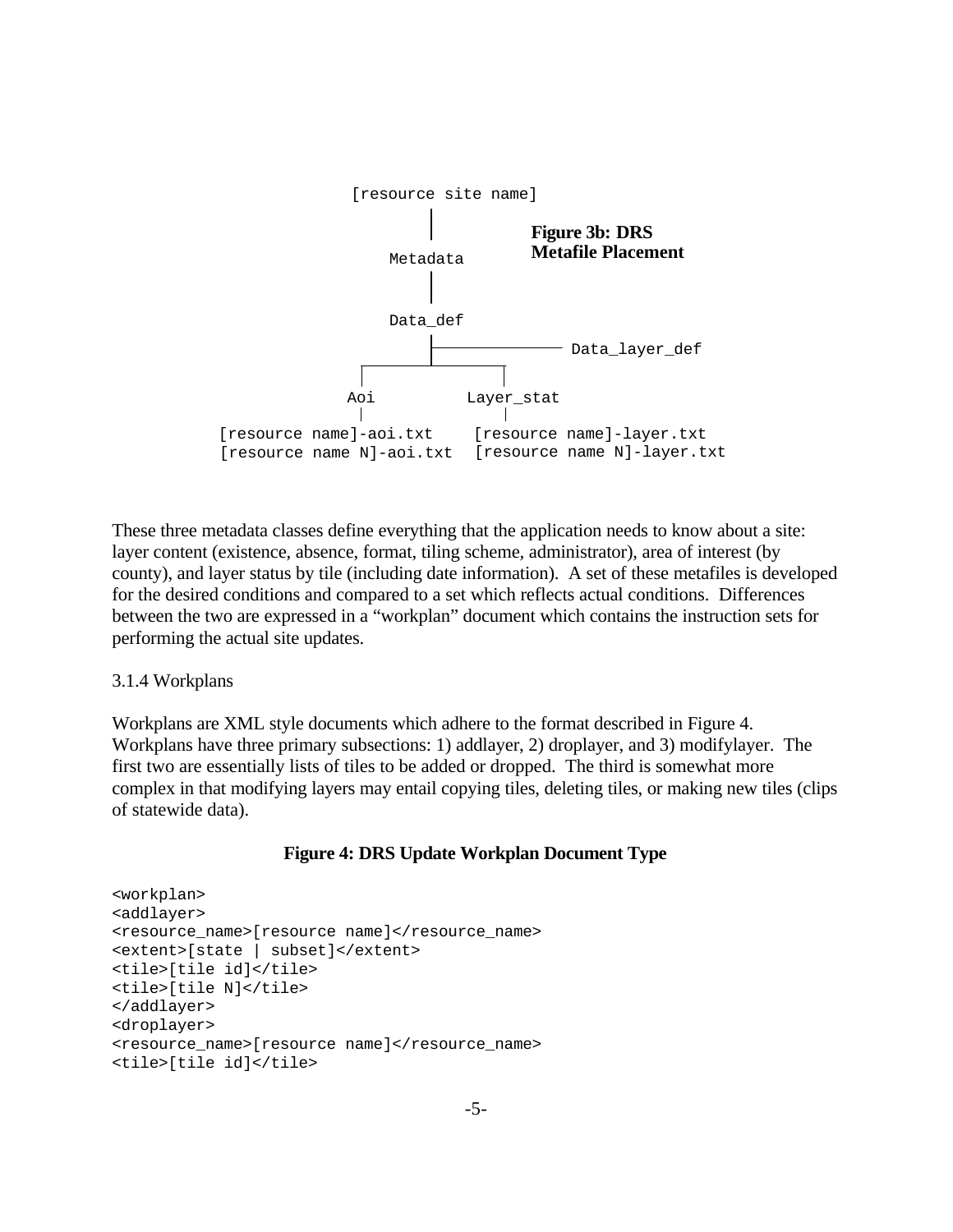

These three metadata classes define everything that the application needs to know about a site: layer content (existence, absence, format, tiling scheme, administrator), area of interest (by county), and layer status by tile (including date information). A set of these metafiles is developed for the desired conditions and compared to a set which reflects actual conditions. Differences between the two are expressed in a "workplan" document which contains the instruction sets for performing the actual site updates.

#### 3.1.4 Workplans

Workplans are XML style documents which adhere to the format described in Figure 4. Workplans have three primary subsections: 1) addlayer, 2) droplayer, and 3) modifylayer. The first two are essentially lists of tiles to be added or dropped. The third is somewhat more complex in that modifying layers may entail copying tiles, deleting tiles, or making new tiles (clips of statewide data).

#### **Figure 4: DRS Update Workplan Document Type**

```
<workplan>
<addlayer>
<resource_name>[resource_name]</resource_name>
<extent>[state | subset]</extent>
<tile>[tile id]</tile>
<tile>[tile N]</tile>
</addlayer>
<droplayer>
<resource_name>[resource name]</resource_name>
<tile>[tile id]</tile>
```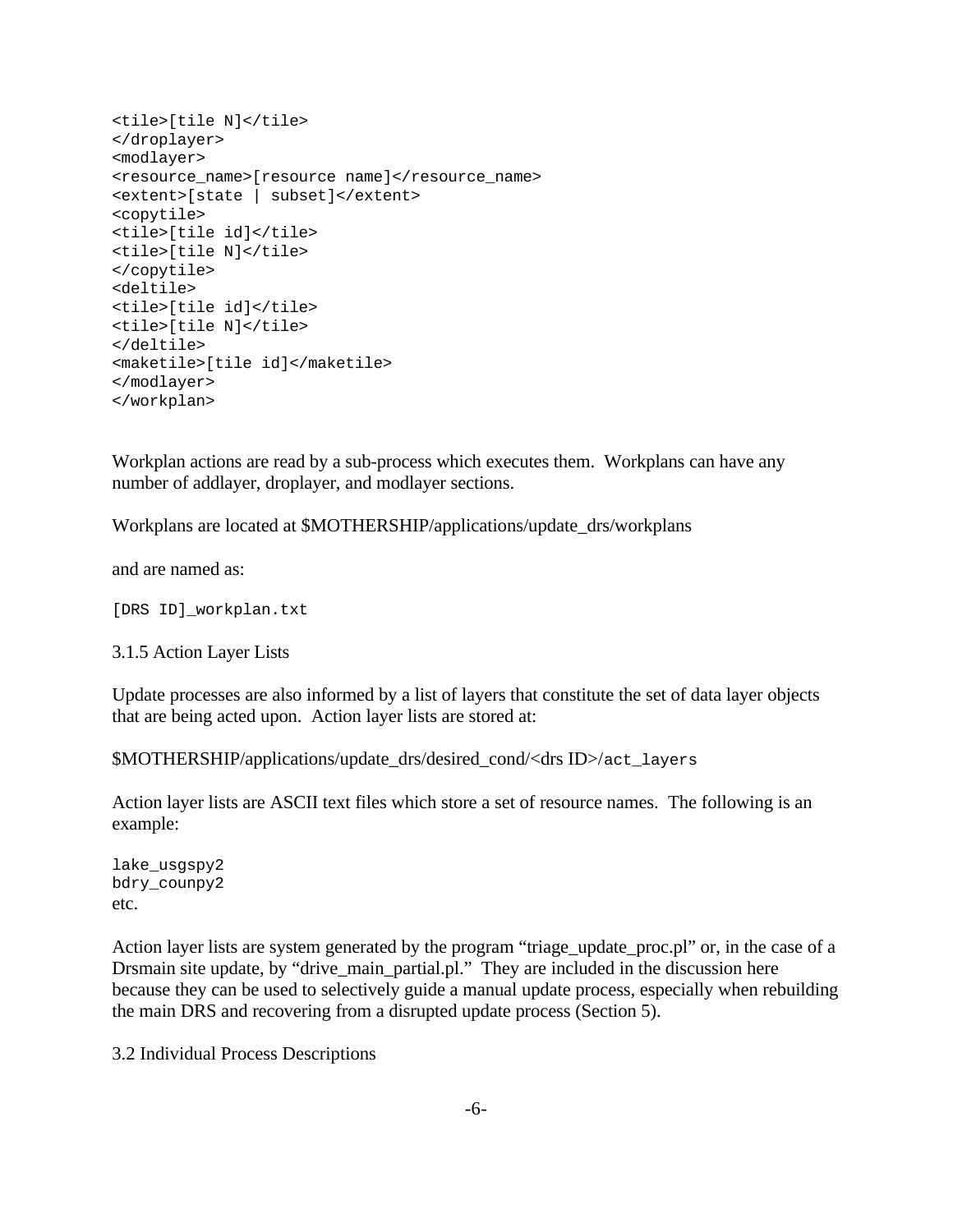```
<tile>[tile N]</tile>
</droplayer>
<modlayer>
<resource_name>[resource name]</resource_name>
<extent>[state | subset]</extent>
<copytile>
<tile>[tile id]</tile>
<tile>[tile N]</tile>
</copytile>
<deltile>
<tile>[tile id]</tile>
<tile>[tile N]</tile>
</deltile>
<maketile>[tile id]</maketile>
</modlayer>
</workplan>
```
Workplan actions are read by a sub-process which executes them. Workplans can have any number of addlayer, droplayer, and modlayer sections.

Workplans are located at \$MOTHERSHIP/applications/update\_drs/workplans

and are named as:

[DRS ID]\_workplan.txt

3.1.5 Action Layer Lists

Update processes are also informed by a list of layers that constitute the set of data layer objects that are being acted upon. Action layer lists are stored at:

\$MOTHERSHIP/applications/update\_drs/desired\_cond/<drs ID>/act\_layers

Action layer lists are ASCII text files which store a set of resource names. The following is an example:

lake\_usgspy2 bdry\_counpy2 etc.

Action layer lists are system generated by the program "triage\_update\_proc.pl" or, in the case of a Drsmain site update, by "drive\_main\_partial.pl." They are included in the discussion here because they can be used to selectively guide a manual update process, especially when rebuilding the main DRS and recovering from a disrupted update process (Section 5).

3.2 Individual Process Descriptions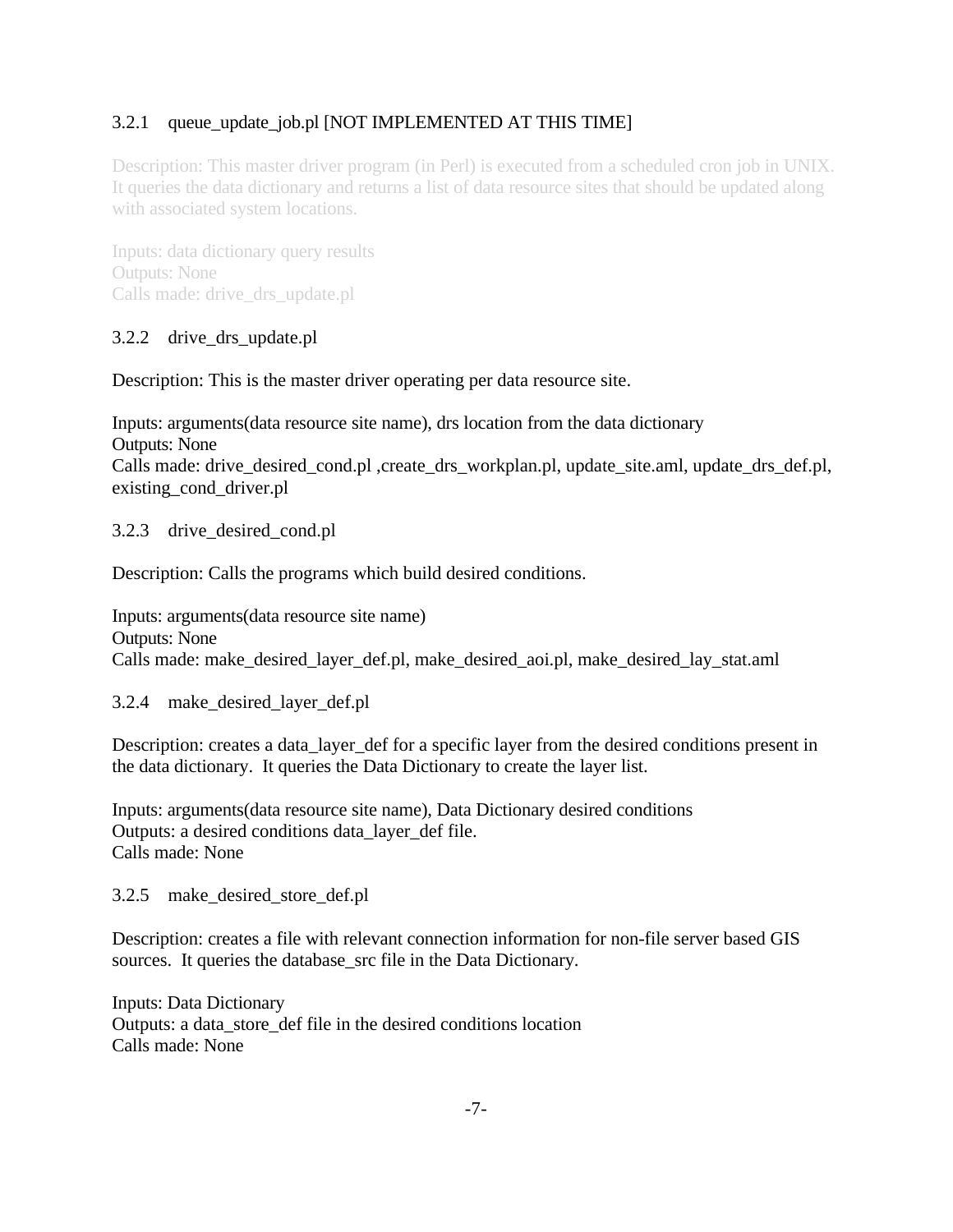# 3.2.1 queue update job.pl [NOT IMPLEMENTED AT THIS TIME]

Description: This master driver program (in Perl) is executed from a scheduled cron job in UNIX. It queries the data dictionary and returns a list of data resource sites that should be updated along with associated system locations.

Inputs: data dictionary query results Outputs: None Calls made: drive\_drs\_update.pl

# 3.2.2 drive\_drs\_update.pl

Description: This is the master driver operating per data resource site.

Inputs: arguments(data resource site name), drs location from the data dictionary Outputs: None Calls made: drive\_desired\_cond.pl ,create\_drs\_workplan.pl, update\_site.aml, update\_drs\_def.pl, existing\_cond\_driver.pl

# 3.2.3 drive\_desired\_cond.pl

Description: Calls the programs which build desired conditions.

Inputs: arguments(data resource site name) Outputs: None Calls made: make\_desired\_layer\_def.pl, make\_desired\_aoi.pl, make\_desired\_lay\_stat.aml

# 3.2.4 make\_desired\_layer\_def.pl

Description: creates a data layer def for a specific layer from the desired conditions present in the data dictionary. It queries the Data Dictionary to create the layer list.

Inputs: arguments(data resource site name), Data Dictionary desired conditions Outputs: a desired conditions data\_layer\_def file. Calls made: None

3.2.5 make\_desired\_store\_def.pl

Description: creates a file with relevant connection information for non-file server based GIS sources. It queries the database src file in the Data Dictionary.

Inputs: Data Dictionary Outputs: a data\_store\_def file in the desired conditions location Calls made: None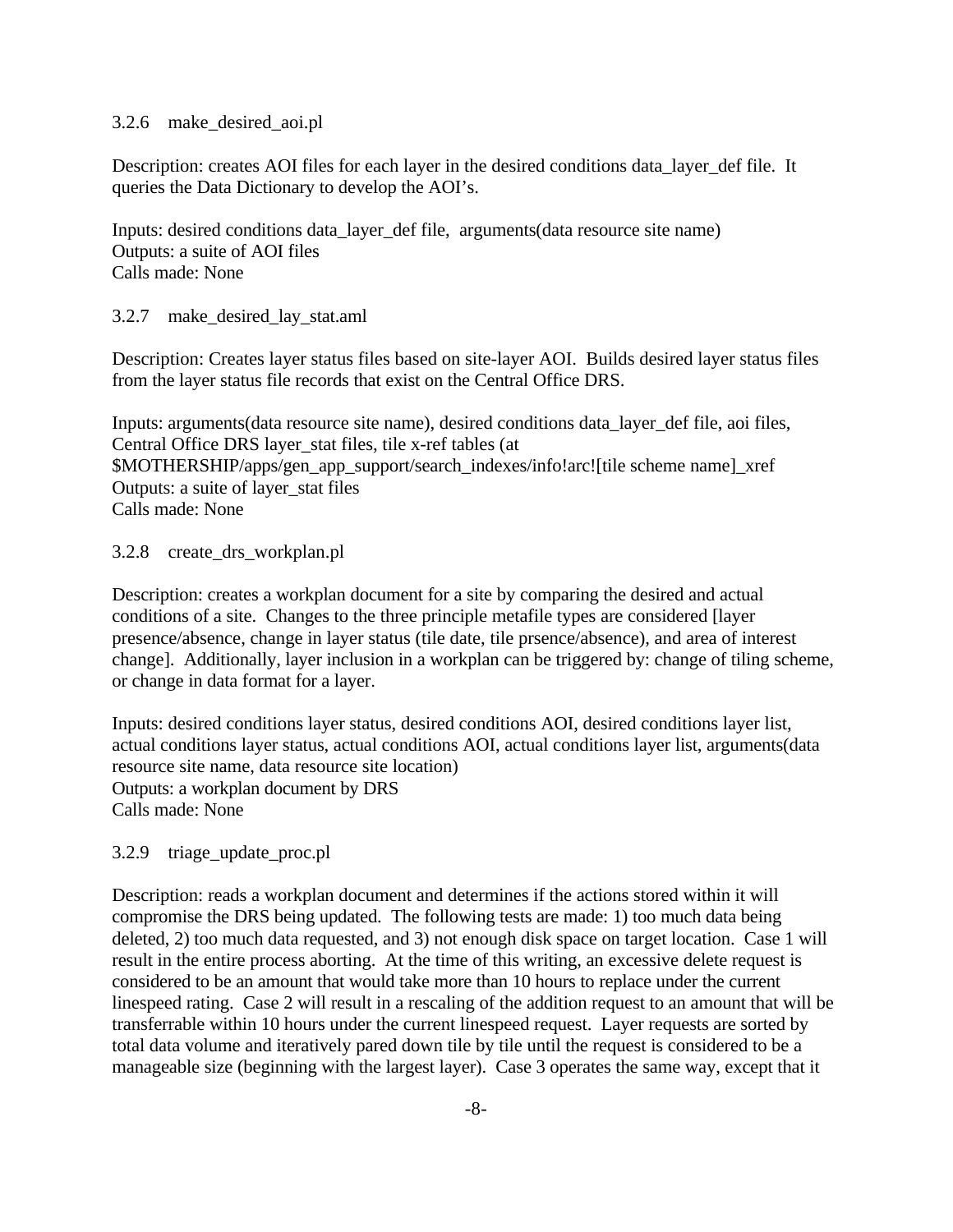#### 3.2.6 make\_desired\_aoi.pl

Description: creates AOI files for each layer in the desired conditions data\_layer\_def file. It queries the Data Dictionary to develop the AOI's.

Inputs: desired conditions data\_layer\_def file, arguments(data resource site name) Outputs: a suite of AOI files Calls made: None

#### 3.2.7 make\_desired\_lay\_stat.aml

Description: Creates layer status files based on site-layer AOI. Builds desired layer status files from the layer status file records that exist on the Central Office DRS.

Inputs: arguments(data resource site name), desired conditions data\_layer\_def file, aoi files, Central Office DRS layer\_stat files, tile x-ref tables (at \$MOTHERSHIP/apps/gen\_app\_support/search\_indexes/info!arc![tile scheme name]\_xref Outputs: a suite of layer\_stat files Calls made: None

#### 3.2.8 create\_drs\_workplan.pl

Description: creates a workplan document for a site by comparing the desired and actual conditions of a site. Changes to the three principle metafile types are considered [layer presence/absence, change in layer status (tile date, tile prsence/absence), and area of interest change]. Additionally, layer inclusion in a workplan can be triggered by: change of tiling scheme, or change in data format for a layer.

Inputs: desired conditions layer status, desired conditions AOI, desired conditions layer list, actual conditions layer status, actual conditions AOI, actual conditions layer list, arguments(data resource site name, data resource site location) Outputs: a workplan document by DRS Calls made: None

#### 3.2.9 triage\_update\_proc.pl

Description: reads a workplan document and determines if the actions stored within it will compromise the DRS being updated. The following tests are made: 1) too much data being deleted, 2) too much data requested, and 3) not enough disk space on target location. Case 1 will result in the entire process aborting. At the time of this writing, an excessive delete request is considered to be an amount that would take more than 10 hours to replace under the current linespeed rating. Case 2 will result in a rescaling of the addition request to an amount that will be transferrable within 10 hours under the current linespeed request. Layer requests are sorted by total data volume and iteratively pared down tile by tile until the request is considered to be a manageable size (beginning with the largest layer). Case 3 operates the same way, except that it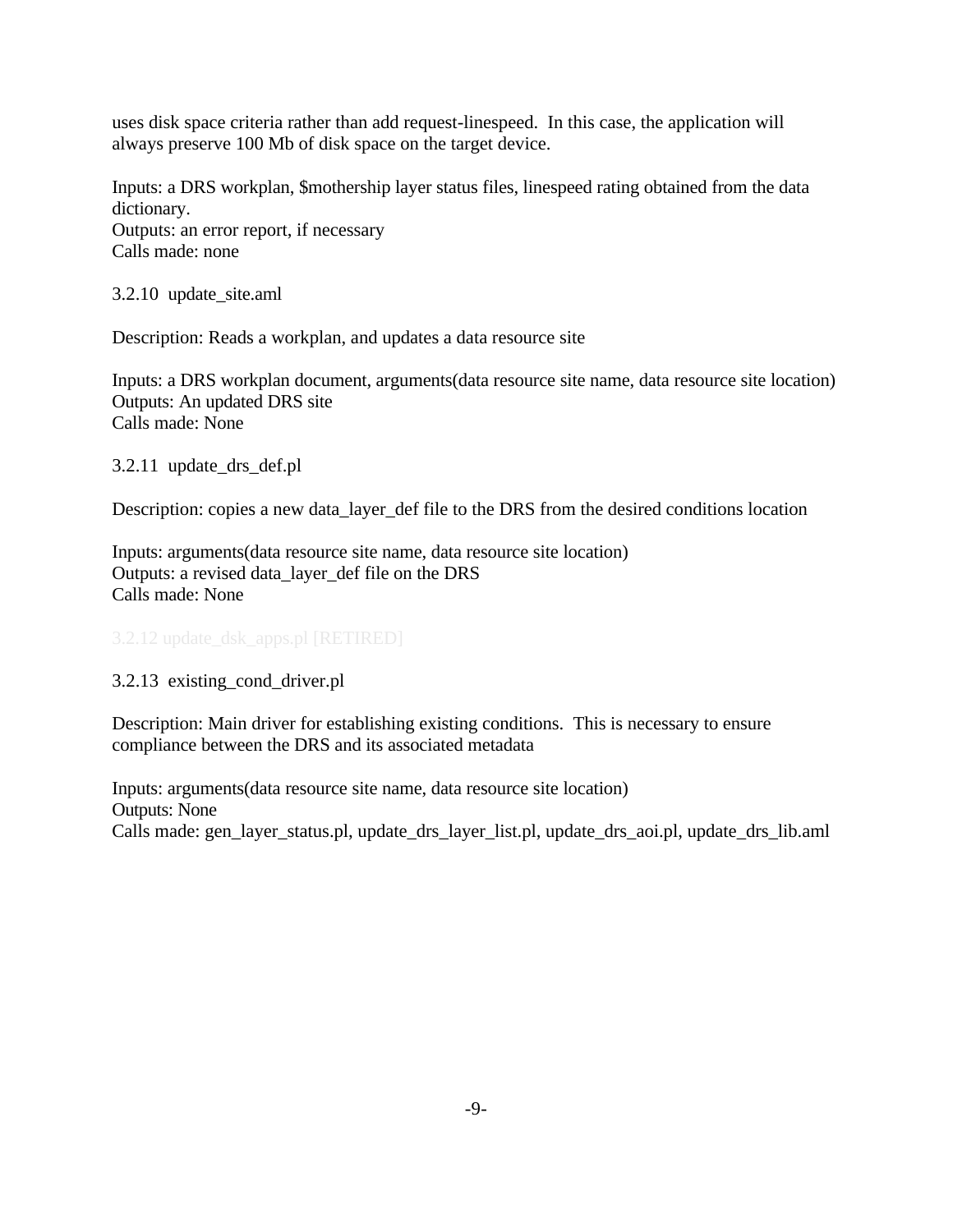uses disk space criteria rather than add request-linespeed. In this case, the application will always preserve 100 Mb of disk space on the target device.

Inputs: a DRS workplan, \$mothership layer status files, linespeed rating obtained from the data dictionary. Outputs: an error report, if necessary Calls made: none

3.2.10 update\_site.aml

Description: Reads a workplan, and updates a data resource site

Inputs: a DRS workplan document, arguments(data resource site name, data resource site location) Outputs: An updated DRS site Calls made: None

3.2.11 update\_drs\_def.pl

Description: copies a new data\_layer\_def file to the DRS from the desired conditions location

Inputs: arguments(data resource site name, data resource site location) Outputs: a revised data\_layer\_def file on the DRS Calls made: None

3.2.13 existing\_cond\_driver.pl

Description: Main driver for establishing existing conditions. This is necessary to ensure compliance between the DRS and its associated metadata

Inputs: arguments(data resource site name, data resource site location) Outputs: None Calls made: gen\_layer\_status.pl, update\_drs\_layer\_list.pl, update\_drs\_aoi.pl, update\_drs\_lib.aml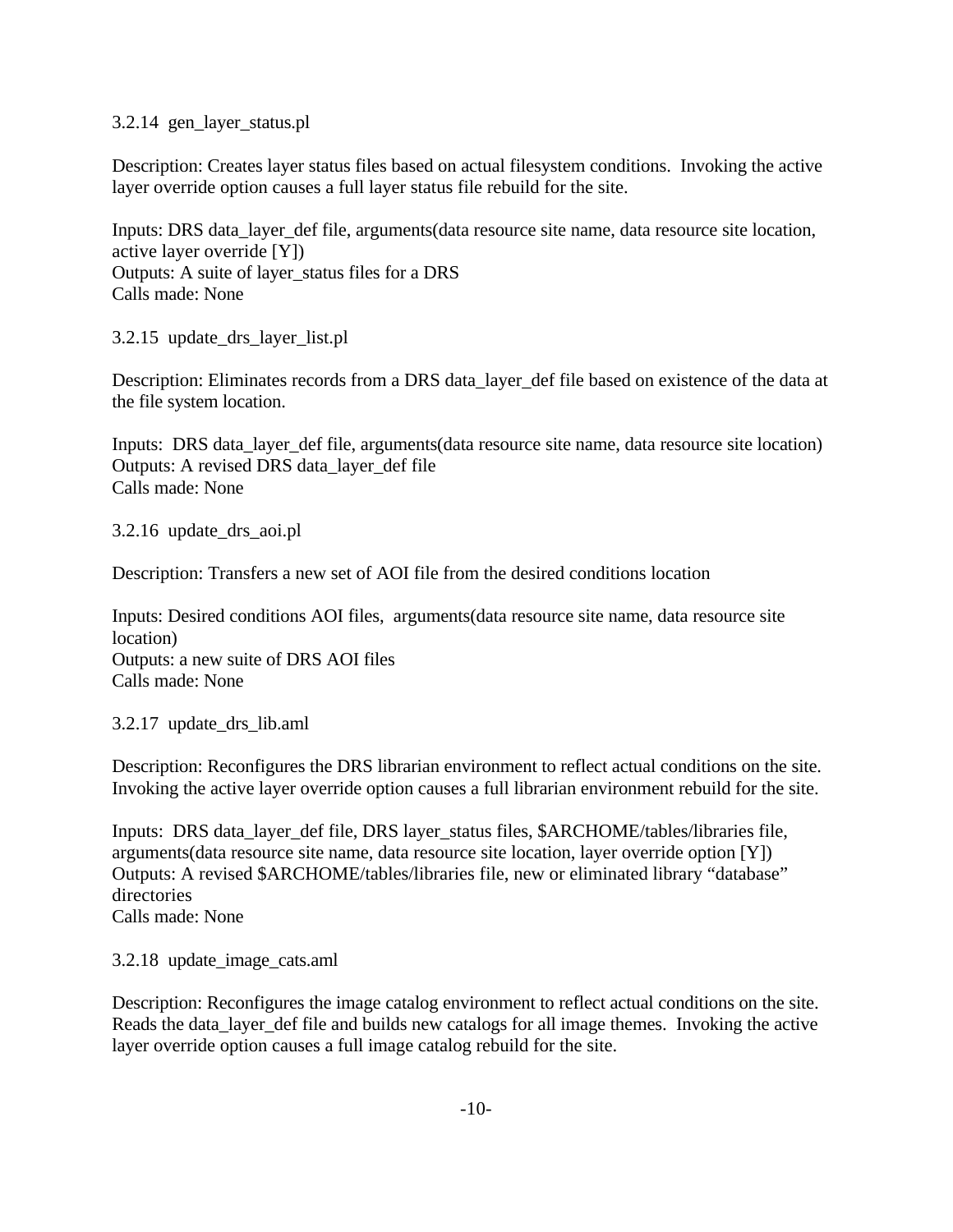3.2.14 gen\_layer\_status.pl

Description: Creates layer status files based on actual filesystem conditions. Invoking the active layer override option causes a full layer status file rebuild for the site.

Inputs: DRS data\_layer\_def file, arguments(data resource site name, data resource site location, active layer override [Y]) Outputs: A suite of layer\_status files for a DRS Calls made: None

3.2.15 update\_drs\_layer\_list.pl

Description: Eliminates records from a DRS data\_layer\_def file based on existence of the data at the file system location.

Inputs: DRS data\_layer\_def file, arguments(data resource site name, data resource site location) Outputs: A revised DRS data\_layer\_def file Calls made: None

3.2.16 update\_drs\_aoi.pl

Description: Transfers a new set of AOI file from the desired conditions location

Inputs: Desired conditions AOI files, arguments(data resource site name, data resource site location) Outputs: a new suite of DRS AOI files Calls made: None

3.2.17 update\_drs\_lib.aml

Description: Reconfigures the DRS librarian environment to reflect actual conditions on the site. Invoking the active layer override option causes a full librarian environment rebuild for the site.

Inputs: DRS data\_layer\_def file, DRS layer\_status files, \$ARCHOME/tables/libraries file, arguments(data resource site name, data resource site location, layer override option [Y]) Outputs: A revised \$ARCHOME/tables/libraries file, new or eliminated library "database" directories Calls made: None

3.2.18 update\_image\_cats.aml

Description: Reconfigures the image catalog environment to reflect actual conditions on the site. Reads the data\_layer\_def file and builds new catalogs for all image themes. Invoking the active layer override option causes a full image catalog rebuild for the site.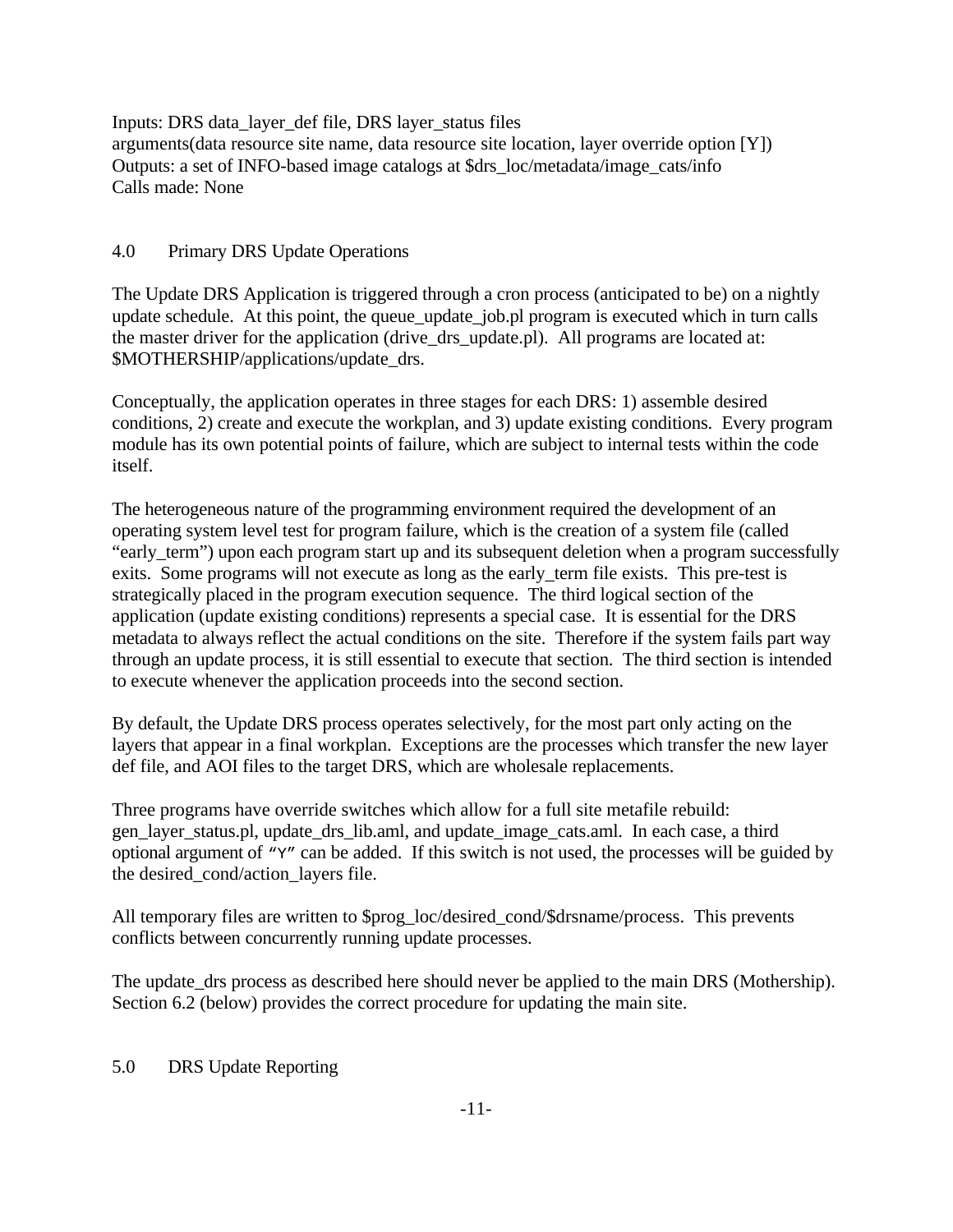Inputs: DRS data\_layer\_def file, DRS layer\_status files arguments(data resource site name, data resource site location, layer override option [Y]) Outputs: a set of INFO-based image catalogs at \$drs\_loc/metadata/image\_cats/info Calls made: None

# 4.0 Primary DRS Update Operations

The Update DRS Application is triggered through a cron process (anticipated to be) on a nightly update schedule. At this point, the queue\_update\_job.pl program is executed which in turn calls the master driver for the application (drive\_drs\_update.pl). All programs are located at: \$MOTHERSHIP/applications/update\_drs.

Conceptually, the application operates in three stages for each DRS: 1) assemble desired conditions, 2) create and execute the workplan, and 3) update existing conditions. Every program module has its own potential points of failure, which are subject to internal tests within the code itself.

The heterogeneous nature of the programming environment required the development of an operating system level test for program failure, which is the creation of a system file (called "early\_term") upon each program start up and its subsequent deletion when a program successfully exits. Some programs will not execute as long as the early term file exists. This pre-test is strategically placed in the program execution sequence. The third logical section of the application (update existing conditions) represents a special case. It is essential for the DRS metadata to always reflect the actual conditions on the site. Therefore if the system fails part way through an update process, it is still essential to execute that section. The third section is intended to execute whenever the application proceeds into the second section.

By default, the Update DRS process operates selectively, for the most part only acting on the layers that appear in a final workplan. Exceptions are the processes which transfer the new layer def file, and AOI files to the target DRS, which are wholesale replacements.

Three programs have override switches which allow for a full site metafile rebuild: gen\_layer\_status.pl, update\_drs\_lib.aml, and update\_image\_cats.aml. In each case, a third optional argument of "Y" can be added. If this switch is not used, the processes will be guided by the desired cond/action layers file.

All temporary files are written to \$prog\_loc/desired\_cond/\$drsname/process. This prevents conflicts between concurrently running update processes.

The update\_drs process as described here should never be applied to the main DRS (Mothership). Section 6.2 (below) provides the correct procedure for updating the main site.

# 5.0 DRS Update Reporting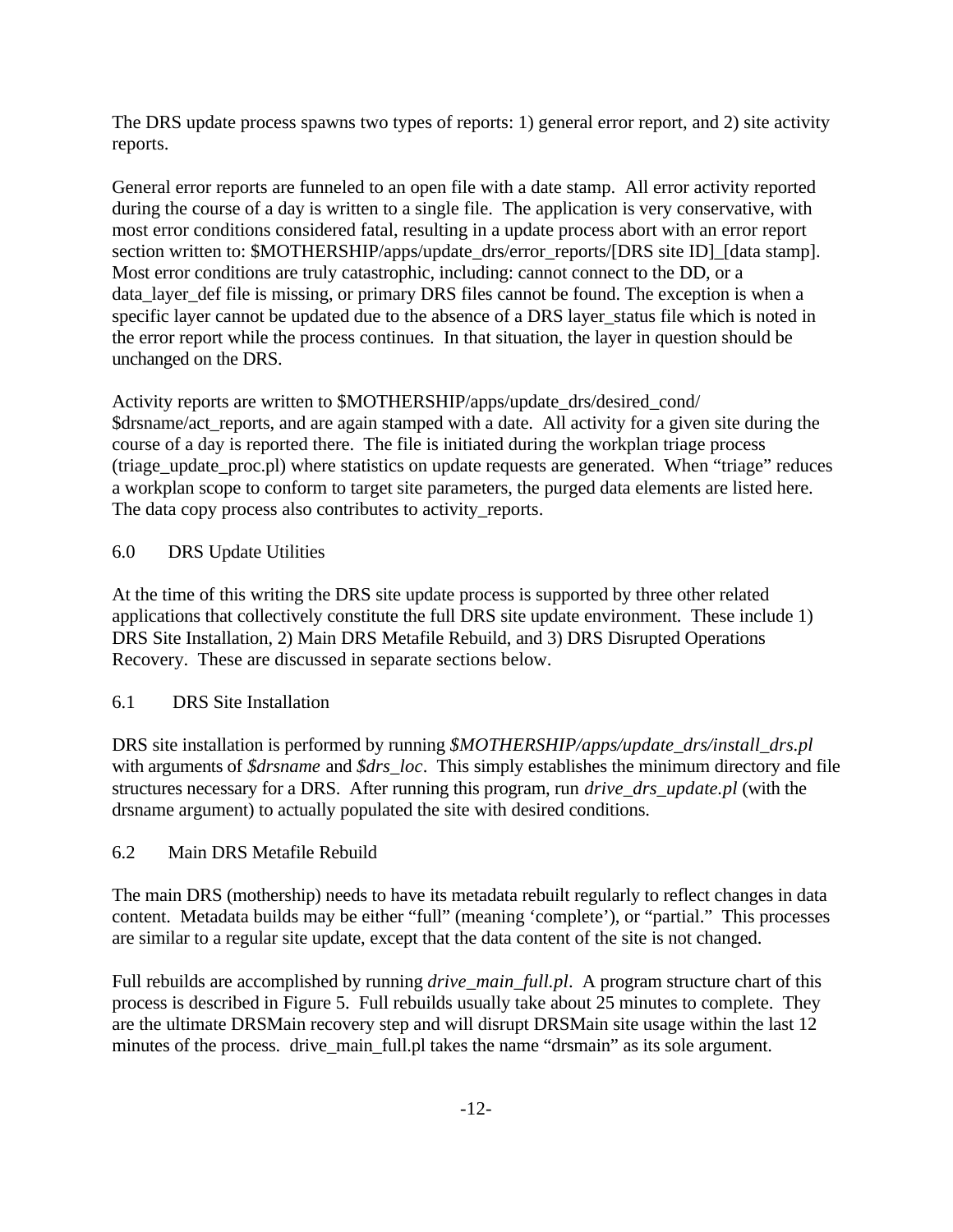The DRS update process spawns two types of reports: 1) general error report, and 2) site activity reports.

General error reports are funneled to an open file with a date stamp. All error activity reported during the course of a day is written to a single file. The application is very conservative, with most error conditions considered fatal, resulting in a update process abort with an error report section written to: \$MOTHERSHIP/apps/update\_drs/error\_reports/[DRS site ID]\_[data stamp]. Most error conditions are truly catastrophic, including: cannot connect to the DD, or a data\_layer\_def file is missing, or primary DRS files cannot be found. The exception is when a specific layer cannot be updated due to the absence of a DRS layer\_status file which is noted in the error report while the process continues. In that situation, the layer in question should be unchanged on the DRS.

Activity reports are written to \$MOTHERSHIP/apps/update\_drs/desired\_cond/ \$drsname/act\_reports, and are again stamped with a date. All activity for a given site during the course of a day is reported there. The file is initiated during the workplan triage process (triage\_update\_proc.pl) where statistics on update requests are generated. When "triage" reduces a workplan scope to conform to target site parameters, the purged data elements are listed here. The data copy process also contributes to activity\_reports.

# 6.0 DRS Update Utilities

At the time of this writing the DRS site update process is supported by three other related applications that collectively constitute the full DRS site update environment. These include 1) DRS Site Installation, 2) Main DRS Metafile Rebuild, and 3) DRS Disrupted Operations Recovery. These are discussed in separate sections below.

# 6.1 DRS Site Installation

DRS site installation is performed by running *\$MOTHERSHIP/apps/update\_drs/install\_drs.pl* with arguments of *\$drsname* and *\$drs\_loc*. This simply establishes the minimum directory and file structures necessary for a DRS. After running this program, run *drive\_drs\_update.pl* (with the drsname argument) to actually populated the site with desired conditions.

# 6.2 Main DRS Metafile Rebuild

The main DRS (mothership) needs to have its metadata rebuilt regularly to reflect changes in data content. Metadata builds may be either "full" (meaning 'complete'), or "partial." This processes are similar to a regular site update, except that the data content of the site is not changed.

Full rebuilds are accomplished by running *drive\_main\_full.pl*. A program structure chart of this process is described in Figure 5. Full rebuilds usually take about 25 minutes to complete. They are the ultimate DRSMain recovery step and will disrupt DRSMain site usage within the last 12 minutes of the process. drive\_main\_full.pl takes the name "drsmain" as its sole argument.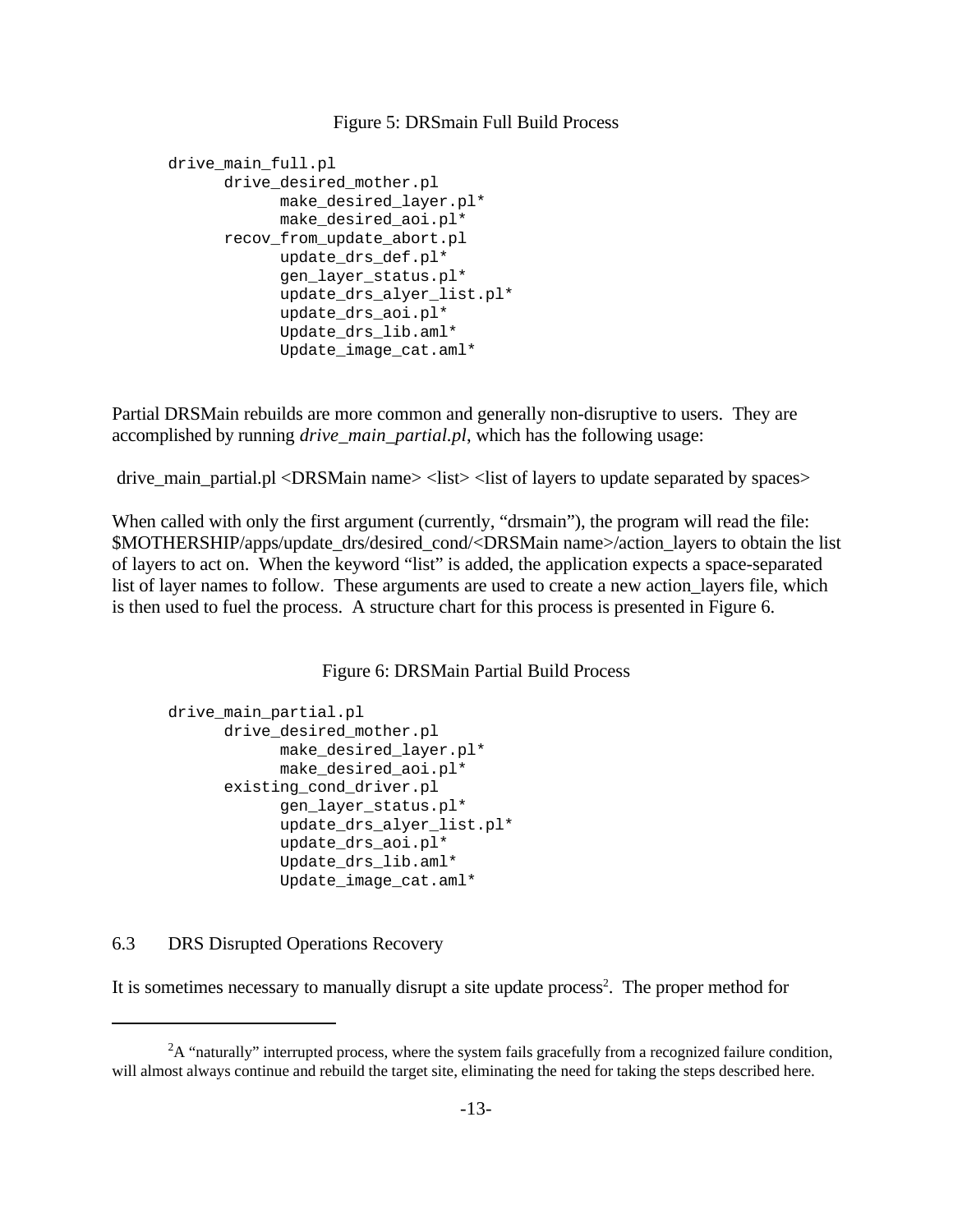#### Figure 5: DRSmain Full Build Process

```
drive main full.pl
      drive desired mother.pl
            make_desired_layer.pl*
            make desired aoi.pl*
      recov_from_update_abort.pl
            update_drs_def.pl*
            gen_layer_status.pl*
            update drs alyer list.pl*
            update_drs_aoi.pl*
            Update_drs_lib.aml*
            Update_image_cat.aml*
```
Partial DRSMain rebuilds are more common and generally non-disruptive to users. They are accomplished by running *drive\_main\_partial.pl*, which has the following usage:

drive\_main\_partial.pl <DRSMain name> <list> <list of layers to update separated by spaces>

When called with only the first argument (currently, "drsmain"), the program will read the file: \$MOTHERSHIP/apps/update\_drs/desired\_cond/<DRSMain name>/action\_layers to obtain the list of layers to act on. When the keyword "list" is added, the application expects a space-separated list of layer names to follow. These arguments are used to create a new action layers file, which is then used to fuel the process. A structure chart for this process is presented in Figure 6.

Figure 6: DRSMain Partial Build Process

```
drive main partial.pl
      drive desired mother.pl
            make_desired_layer.pl*
            make desired aoi.pl*
      existing_cond_driver.pl
            gen_layer_status.pl*
            update drs alyer list.pl*
            update drs aoi.pl*
            Update_drs_lib.aml*
            Update_image_cat.aml*
```
# 6.3 DRS Disrupted Operations Recovery

It is sometimes necessary to manually disrupt a site update process<sup>2</sup>. The proper method for

 ${}^{2}A$  "naturally" interrupted process, where the system fails gracefully from a recognized failure condition, will almost always continue and rebuild the target site, eliminating the need for taking the steps described here.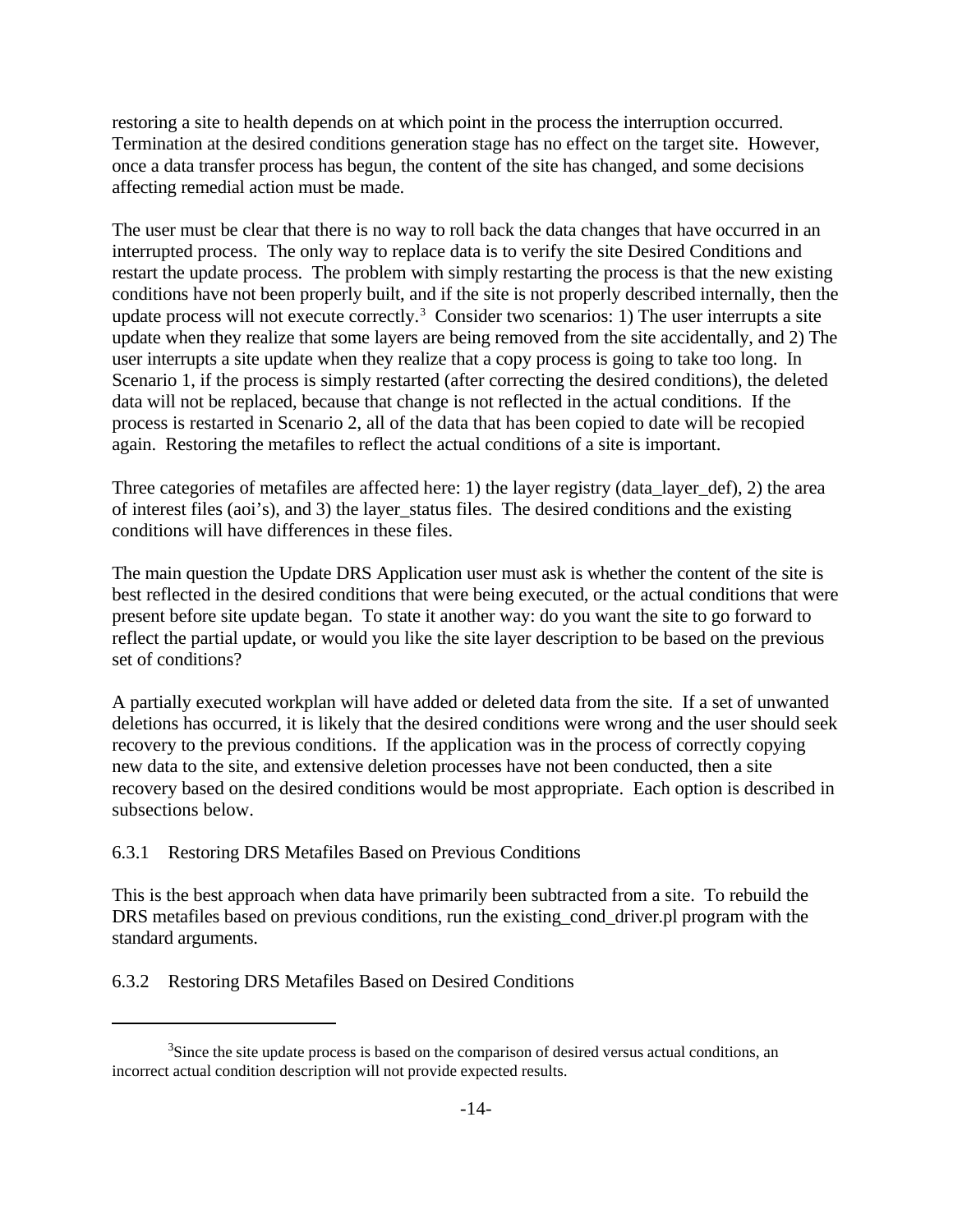restoring a site to health depends on at which point in the process the interruption occurred. Termination at the desired conditions generation stage has no effect on the target site. However, once a data transfer process has begun, the content of the site has changed, and some decisions affecting remedial action must be made.

The user must be clear that there is no way to roll back the data changes that have occurred in an interrupted process. The only way to replace data is to verify the site Desired Conditions and restart the update process. The problem with simply restarting the process is that the new existing conditions have not been properly built, and if the site is not properly described internally, then the update process will not execute correctly.<sup>3</sup> Consider two scenarios: 1) The user interrupts a site update when they realize that some layers are being removed from the site accidentally, and 2) The user interrupts a site update when they realize that a copy process is going to take too long. In Scenario 1, if the process is simply restarted (after correcting the desired conditions), the deleted data will not be replaced, because that change is not reflected in the actual conditions. If the process is restarted in Scenario 2, all of the data that has been copied to date will be recopied again. Restoring the metafiles to reflect the actual conditions of a site is important.

Three categories of metafiles are affected here: 1) the layer registry (data\_layer\_def), 2) the area of interest files (aoi's), and 3) the layer\_status files. The desired conditions and the existing conditions will have differences in these files.

The main question the Update DRS Application user must ask is whether the content of the site is best reflected in the desired conditions that were being executed, or the actual conditions that were present before site update began. To state it another way: do you want the site to go forward to reflect the partial update, or would you like the site layer description to be based on the previous set of conditions?

A partially executed workplan will have added or deleted data from the site. If a set of unwanted deletions has occurred, it is likely that the desired conditions were wrong and the user should seek recovery to the previous conditions. If the application was in the process of correctly copying new data to the site, and extensive deletion processes have not been conducted, then a site recovery based on the desired conditions would be most appropriate. Each option is described in subsections below.

# 6.3.1 Restoring DRS Metafiles Based on Previous Conditions

This is the best approach when data have primarily been subtracted from a site. To rebuild the DRS metafiles based on previous conditions, run the existing cond driver.pl program with the standard arguments.

6.3.2 Restoring DRS Metafiles Based on Desired Conditions

<sup>&</sup>lt;sup>3</sup>Since the site update process is based on the comparison of desired versus actual conditions, an incorrect actual condition description will not provide expected results.